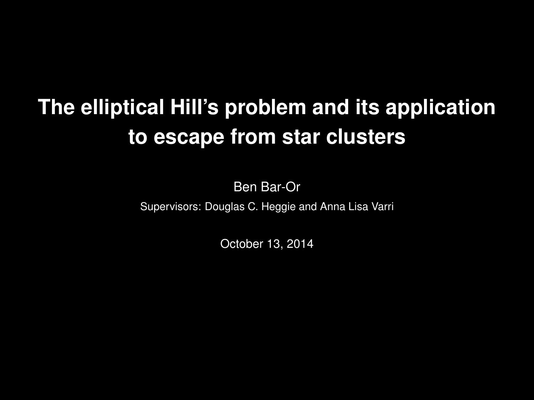# **The elliptical Hill's problem and its applicationto escape from star clusters**

Ben Bar-Or

Supervisors: Douglas C. Heggie and Anna Lisa Varri

October 13, 2014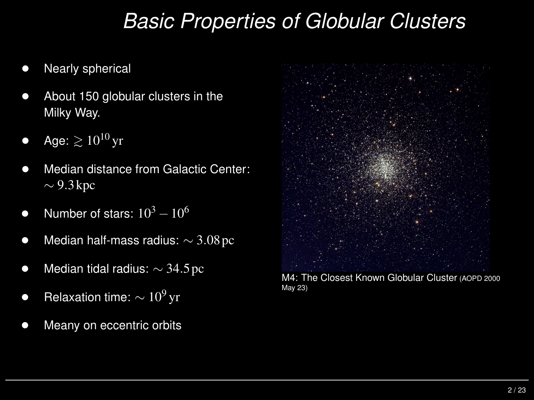## *Basic Properties of Globular Clusters*

- $\bullet$ Nearly spherical
- $\bullet$  About <sup>150</sup> globular clusters in the Milky Way.
- $\bullet$ • Age:  $\geq 10^{10}$  yr
- $\bullet$  Median distance from Galactic Center:  $\sim$  9.3 kpc
- $\bullet$ • Number of stars:  $10^3$  $^3-10^6$
- $\bullet$  $\bullet$  Median half-mass radius:  $\sim$  3.08 pc
- $\bullet$  $\bullet$  Median tidal radius:  $\sim$  34.5 pc
- $\bullet$ ● Relaxation time:  $\sim 10^9$ yr
- $\bullet$ Meany on eccentric orbits



M4: The Closest Known Globular Cluster (AOPD <sup>2000</sup>May 23)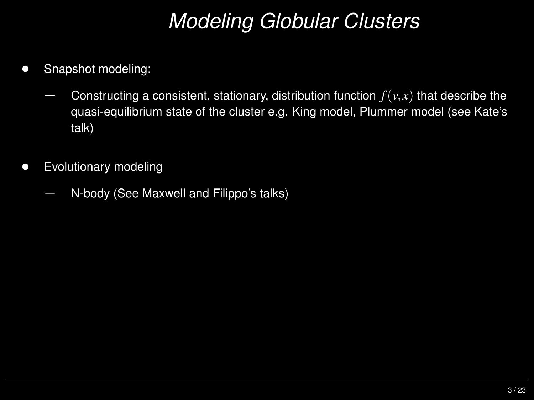## *Modeling Globular Clusters*

- $\bullet$  Snapshot modeling:
	- Constructing a consistent, stationary, distribution function  $f(v, x)$  that describe the<br>*quasi oquilibrium stato of the clustor* o.g. King model, Plummer model (see Kate's quasi-equilibrium state of the cluster e.g. King model, Plummer model (see Kate'stalk)
- $\bullet$  Evolutionary modeling
	- N-body (See Maxwell and Filippo's talks)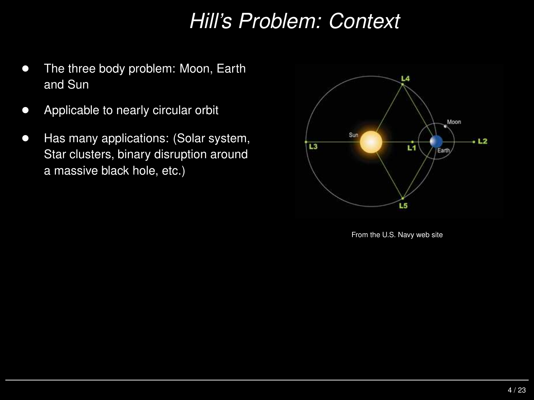## *Hill's Problem: Context*

- $\bullet$  The three body problem: Moon, Earth and Sun
- $\bullet$ Applicable to nearly circular orbit
- $\bullet$  Has many applications: (Solar system, Star clusters, binary disruption around<sup>a</sup> massive black hole, etc.)



From the U.S. Navy web site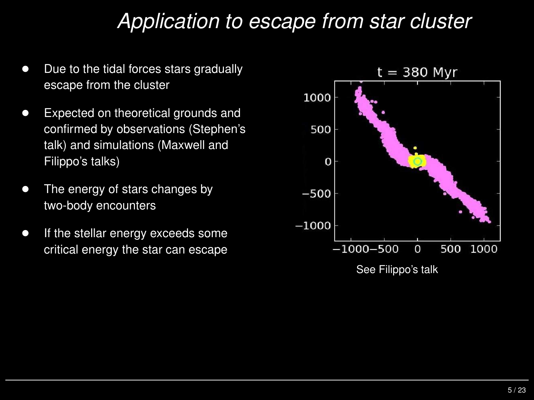## *Application to escape from star cluster*

- $\bullet$  Due to the tidal forces stars gradually escape from the cluster
- $\bullet$  Expected on theoretical grounds and confirmed by observations (Stephen'stalk) and simulations (Maxwell andFilippo's talks)
- $\bullet$  The energy of stars changes by two-body encounters
- $\bullet$  If the stellar energy exceeds some critical energy the star can escape

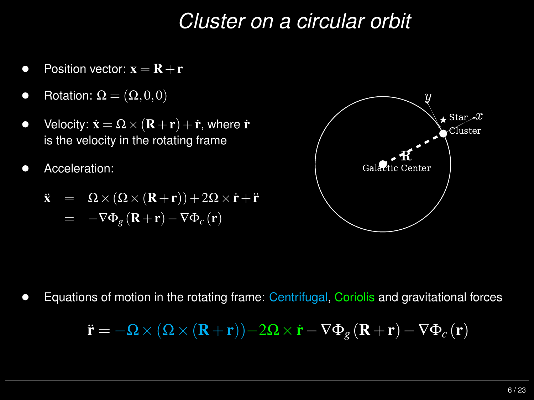## *Cluster on <sup>a</sup> circular orbit*

- $\bullet$ • Position vector:  $\mathbf{x} = \mathbf{R} + \mathbf{r}$
- $\bullet$ • Rotation:  $\Omega = (\Omega, 0, 0)$
- $\bullet$ • Velocity:  $\dot{\mathbf{x}} = \Omega \times (\mathbf{R} + \mathbf{r}) + \dot{\mathbf{r}}$ , where  $\dot{\mathbf{r}}$ is the velocity in the rotating frame
- $\bullet$ Acceleration:

$$
\ddot{\mathbf{x}} = \Omega \times (\Omega \times (\mathbf{R} + \mathbf{r})) + 2\Omega \times \dot{\mathbf{r}} + \ddot{\mathbf{r}}
$$

$$
= -\nabla \Phi_{g} (\mathbf{R} + \mathbf{r}) - \nabla \Phi_{c} (\mathbf{r})
$$



 $\bullet$ Equations of motion in the rotating frame: Centrifugal, Coriolis and gravitational forces

$$
\ddot{\mathbf{r}} = -\mathbf{\Omega} \times (\mathbf{\Omega} \times (\mathbf{R} + \mathbf{r})) - 2\mathbf{\Omega} \times \dot{\mathbf{r}} - \nabla \Phi_{g} (\mathbf{R} + \mathbf{r}) - \nabla \Phi_{c} (\mathbf{r})
$$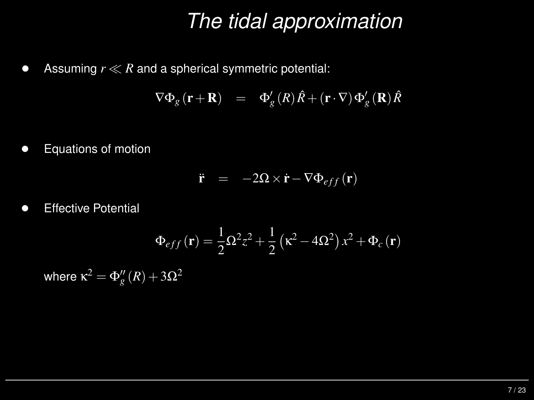## *The tidal approximation*

 $\bullet$ Assuming *r*≪*R* and <sup>a</sup> spherical symmetric potential:

$$
\nabla \Phi_{g}(\mathbf{r} + \mathbf{R}) = \Phi'_{g}(R)\hat{R} + (\mathbf{r} \cdot \nabla)\Phi'_{g}(\mathbf{R})\hat{R}
$$

 $\bullet$ Equations of motion

$$
\ddot{\mathbf{r}} = -2\Omega \times \dot{\mathbf{r}} - \nabla \Phi_{eff}(\mathbf{r})
$$

 $\bullet$ Effective Potential

$$
\Phi_{eff}(\mathbf{r}) = \frac{1}{2}\Omega^2 z^2 + \frac{1}{2} \left(\kappa^2 - 4\Omega^2\right) x^2 + \Phi_c(\mathbf{r})
$$

where  $\kappa^2$  $^2=\Phi''_g(R)+3\Omega^2$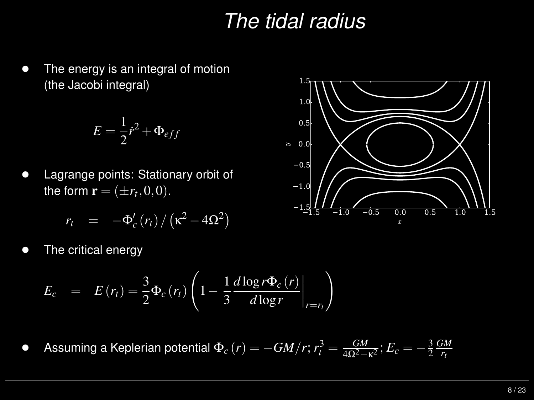## *The tidal radius*

 $\bullet$  The energy is an integral of motion (the Jacobi integral)

$$
E = \frac{1}{2}\dot{r}^2 + \Phi_{eff}
$$

 $\bullet$  Lagrange points: Stationary orbit of the form  $\mathbf{r} = (\pm r_t, 0, 0)$ .

$$
r_t = -\Phi_c'(r_t)/(\kappa^2 - 4\Omega^2)
$$

 $\bullet$ The critical energy

$$
E_{c} = E(r_{t}) = \frac{3}{2} \Phi_{c}(r_{t}) \left(1 - \frac{1}{3} \frac{d \log r \Phi_{c}(r)}{d \log r} \bigg|_{r=r_{t}} \right)
$$

 $\bullet$  $\blacklozenge$  Assuming a Keplerian potential  $\Phi_c(r) = -GM/r$ ;  $r_t^3 = \frac{GM}{4\Omega^2 - \kappa^2}$ ;  $E_c = -\frac{3}{2} \frac{GM}{r_t}$ 

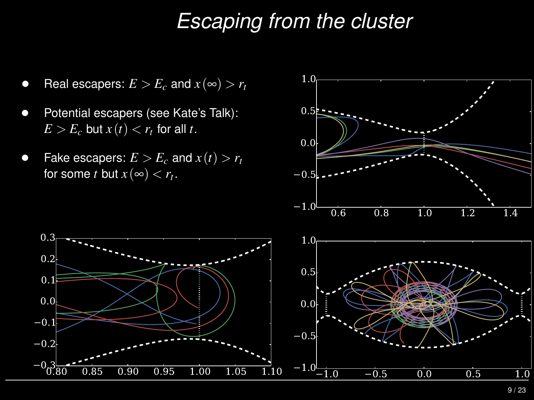#### *Escaping from the cluster*

 $\bullet$ **e** Real escapers:  $E > E_c$  and  $x(\infty) > r_t$ 

- $\bullet$  Potential escapers (see Kate's Talk):  $E > E_c$  but  $x(t) < r_t$  for all  $t$ .
- $\bullet$ • Fake escapers:  $E > E_c$  and  $x(t) > r_t$ for some  $t$  but  $x\left(\infty\right) < r_{t}.$



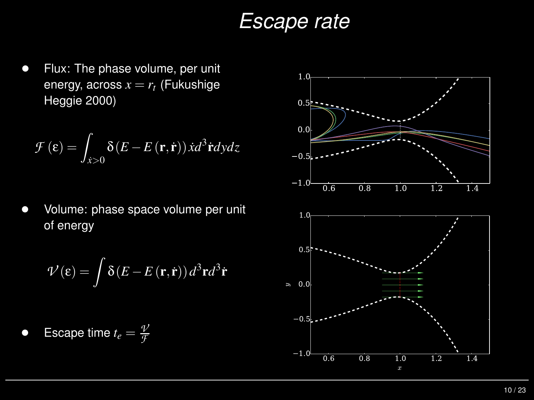#### *Escape rate*

 $\bullet$  Flux: The phase volume, per unit energy, across  $x=r_t$  (Fukushige<br>Llassia 2000) Heggie 2000)

$$
\mathcal{F}\left(\varepsilon\right) = \int_{\dot{x} > 0} \delta\left(E - E\left(\mathbf{r}, \dot{\mathbf{r}}\right)\right) \dot{x} d^3 \dot{\mathbf{r}} dy dz
$$

 $\bullet$  Volume: phase space volume per unit of energy

$$
\mathcal{V}(\mathbf{\varepsilon}) = \int \delta(E - E(\mathbf{r}, \dot{\mathbf{r}})) d^3 \mathbf{r} d^3 \dot{\mathbf{r}}
$$

 $\bullet$ **Escape time**  $t_e = \frac{\mathcal{V}}{\mathcal{F}}$ 

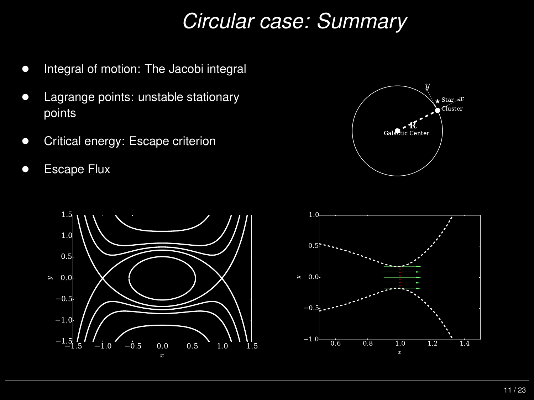## *Circular case: Summary*

- $\bullet$ Integral of motion: The Jacobi integral
- $\bullet$  Lagrange points: unstable stationary points
- $\bullet$ Critical energy: Escape criterion
- $\bullet$ Escape Flux





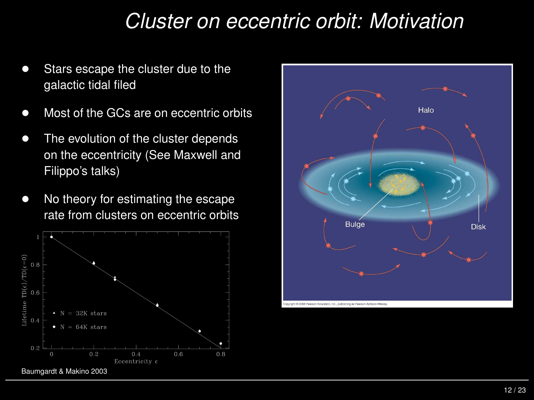### *Cluster on eccentric orbit: Motivation*

- $\bullet$  Stars escape the cluster due to the galactic tidal filed
- $\bullet$ Most of the GCs are on eccentric orbits
- $\bullet$  The evolution of the cluster depends on the eccentricity (See Maxwell andFilippo's talks)
- $\bullet$  No theory for estimating the escape rate from clusters on eccentric orbits



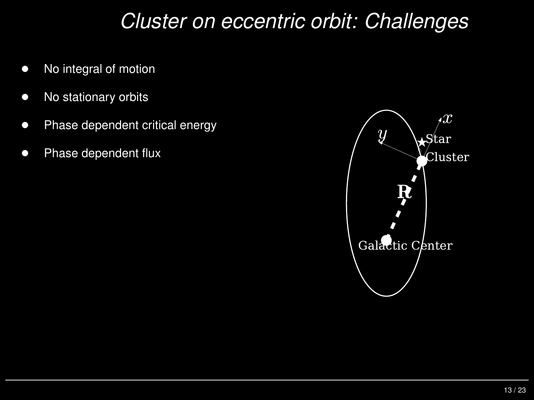#### *Cluster on eccentric orbit: Challenges*

- $\bullet$ No integral of motion
- $\bullet$ No stationary orbits
- $\bullet$ Phase dependent critical energy
- $\bullet$

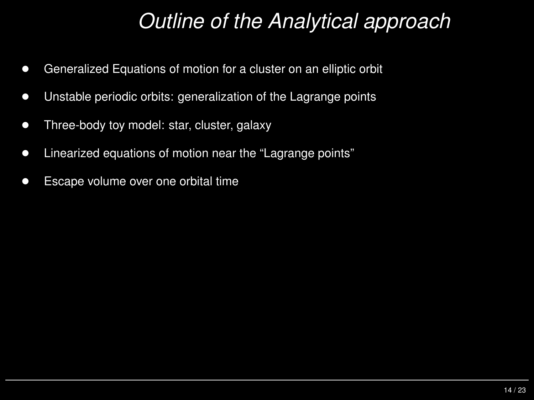## *Outline of the Analytical approach*

- $\bullet$ Generalized Equations of motion for <sup>a</sup> cluster on an elliptic orbit
- $\bullet$ Unstable periodic orbits: generalization of the Lagrange points
- $\bullet$ Three-body toy model: star, cluster, galaxy
- $\bullet$ Linearized equations of motion near the "Lagrange points"
- $\bullet$ Escape volume over one orbital time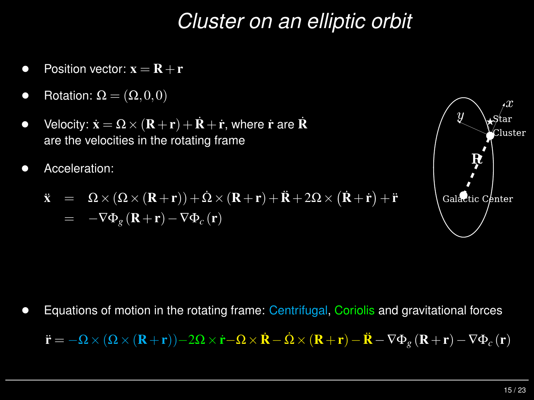## *Cluster on an elliptic orbit*

- $\bullet$ • Position vector:  $\mathbf{x} = \mathbf{R} + \mathbf{r}$
- $\bullet$ • Rotation:  $\Omega = (\Omega, 0, 0)$
- $\bullet$ • Velocity:  $\dot{\mathbf{x}} = \Omega \times (\mathbf{R} + \mathbf{r}) + \dot{\mathbf{R}} + \dot{\mathbf{r}}$ , where  $\dot{\mathbf{r}}$  are  $\dot{\mathbf{R}}$ are the velocities in the rotating frame
- •Acceleration:

$$
\ddot{\mathbf{x}} = \Omega \times (\Omega \times (\mathbf{R} + \mathbf{r})) + \dot{\Omega} \times (\mathbf{R} + \mathbf{r}) + \ddot{\mathbf{R}} + 2\Omega \times (\dot{\mathbf{R}} + \dot{\mathbf{r}}) + \ddot{\mathbf{r}}
$$
  
= -\nabla \Phi\_g (\mathbf{R} + \mathbf{r}) - \nabla \Phi\_c (\mathbf{r})



 $\bullet$ Equations of motion in the rotating frame: Centrifugal, Coriolis and gravitational forces

 $\ddot{\textbf{r}}=-\Omega\times\left(\Omega\times(\textbf{R}+\textbf{r})\right)$  $-2\boldsymbol{\Omega}\times\dot{\mathbf{r}}\!-\!\boldsymbol{\Omega}\times\dot{\mathbf{R}}-\dot{\boldsymbol{\Omega}}\times(\mathbf{R}+\mathbf{r})$  $-\mathbf{\ddot{R}}-\nabla\Phi_{g}\left(\mathbf{R}+\mathbf{r}\right)-\nabla\Phi_{c}\left(\mathbf{r}\right)$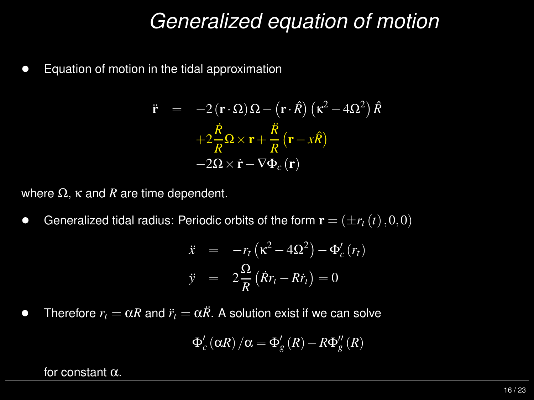#### *Generalized equation of motion*

 $\bullet$ Equation of motion in the tidal approximation

$$
\ddot{\mathbf{r}} = -2(\mathbf{r} \cdot \Omega) \Omega - (\mathbf{r} \cdot \hat{R}) (\kappa^2 - 4\Omega^2) \hat{R} \n+2\frac{\dot{R}}{R} \Omega \times \mathbf{r} + \frac{\dot{R}}{R} (\mathbf{r} - x\hat{R}) \n-2\Omega \times \dot{\mathbf{r}} - \nabla \Phi_c (\mathbf{r})
$$

where  $\Omega$ ,  $\kappa$  and  $R$  are time dependent.

 $\bullet$ **•** Generalized tidal radius: Periodic orbits of the form  $\mathbf{r} = (\pm r_t(t), 0, 0)$ 

$$
\ddot{x} = -r_t (\kappa^2 - 4\Omega^2) - \Phi_c'(r_t)
$$
  

$$
\ddot{y} = 2\frac{\Omega}{R} (\dot{R}r_t - R\dot{r}_t) = 0
$$

 $\bullet$ **•** Therefore  $r_t = \alpha R$  and  $\ddot{r}_t = \alpha \ddot{R}$ . A solution exist if we can solve

$$
\Phi'_{c}(\alpha R)/\alpha = \Phi'_{g}(R) - R\Phi''_{g}(R)
$$

for constant  $\alpha$ .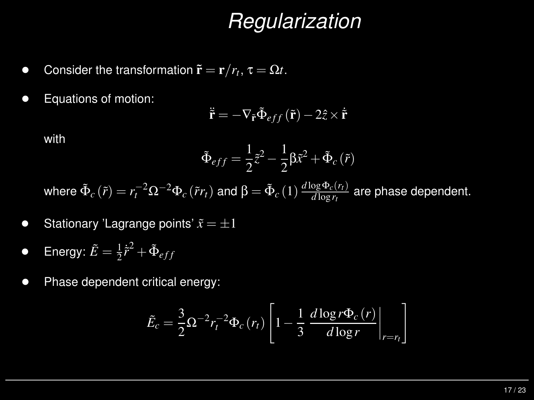#### *Regularization*

- $\bullet$ **•** Consider the transformation  $\tilde{\mathbf{r}} = \mathbf{r}/r_t$ ,  $\tau = \Omega t$ .
- $\bullet$ Equations of motion:

$$
\ddot{\mathbf{r}} = -\nabla_{\tilde{\mathbf{r}}} \tilde{\Phi}_{eff}(\tilde{\mathbf{r}}) - 2\hat{z} \times \dot{\tilde{\mathbf{r}}}
$$

with

$$
\tilde{\Phi}_{eff} = \frac{1}{2}\tilde{z}^2 - \frac{1}{2}\beta\tilde{x}^2 + \tilde{\Phi}_c(\tilde{r})
$$

where  $\tilde{\Phi}$  $\tilde{\Phi}_c\left(\tilde{r}\right)=r_t^{-2}\Omega^{-2}\Phi_c\left(\tilde{r}r_t\right)$  and  $\beta=\tilde{\Phi}_c\left(1\right)\frac{d\log\Phi_c\left(r_t\right)}{d\log r_t}$  are phase dependent.

- $\bullet$ • Stationary 'Lagrange points'  $\tilde{x} = \pm 1$
- $\bullet$  $\bullet$  Energy:  $\tilde{E}$  $\tilde{\Xi}=\frac{1}{2}$  $\frac{1}{2}\ddot{r}^2 + \tilde{\Phi}_{eff}$
- $\bullet$ Phase dependent critical energy:

$$
\tilde{E}_c = \frac{3}{2} \Omega^{-2} r_t^{-2} \Phi_c(r_t) \left[ 1 - \frac{1}{3} \frac{d \log r \Phi_c(r)}{d \log r} \bigg|_{r=r_t} \right]
$$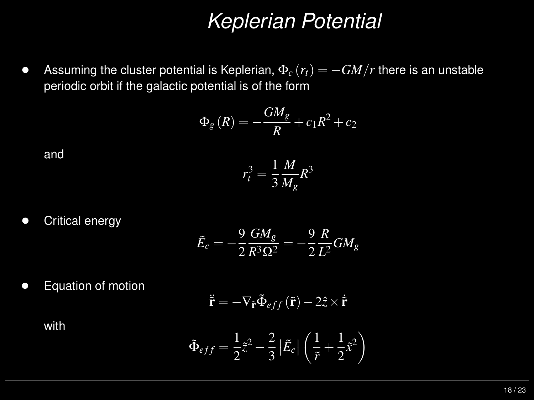## *Keplerian Potential*

 $\bullet$ Assuming the cluster potential is Keplerian,  $\Phi_c(r_t) = -GM/r$  there is an unstable periodic orbit if the galactic potential is of the form

$$
\Phi_{g}(R) = -\frac{GM_{g}}{R} + c_{1}R^{2} + c_{2}
$$

and

$$
r_t^3 = \frac{1}{3} \frac{M}{M_g} R^3
$$

 $\bullet$ Critical energy

$$
\tilde{E}_c=-\frac{9}{2}\frac{GM_g}{R^3\Omega^2}=-\frac{9}{2}\frac{R}{L^2}GM_g
$$

•Equation of motion

$$
\ddot{\mathbf{r}} = -\nabla_{\tilde{\mathbf{r}}} \tilde{\Phi}_{eff}(\tilde{\mathbf{r}}) - 2\hat{z} \times \dot{\tilde{\mathbf{r}}}
$$

with

$$
\tilde{\Phi}_{eff} = \frac{1}{2}\tilde{z}^2 - \frac{2}{3}\left|\tilde{E}_c\right|\left(\frac{1}{\tilde{r}} + \frac{1}{2}\tilde{x}^2\right)
$$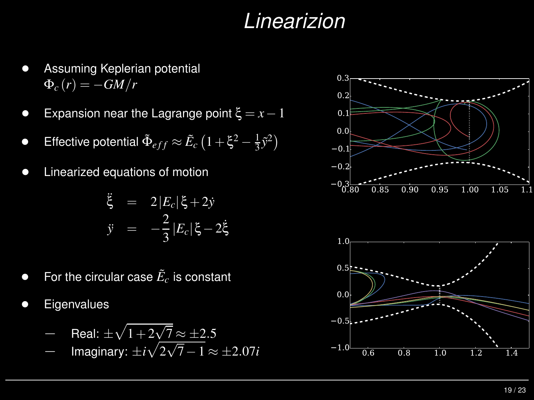## *Linearizion*

- $\bullet$  Assuming Keplerian potential  $\Phi_c(r) = -GM/r$
- $\bullet$ Expansion near the Lagrange point ξ <sup>=</sup> *<sup>x</sup>*−<sup>1</sup>
- $\bullet$ **•** Effective potential  $\tilde{\Phi}$  $\tilde{\Phi}_{eff} \approx \tilde{E}$  $\tilde{c}_c \left( 1 + \xi^2 - \frac{1}{3} \tilde{y}^2 \right)$
- $\bullet$ Linearized equations of motion

$$
\ddot{\xi} = 2|E_c|\xi + 2\dot{y}
$$
  

$$
\ddot{y} = -\frac{2}{3}|E_c|\xi - 2\dot{\xi}
$$

- $\bullet$  $\bullet$  For the circular case  $\tilde{E}$  $_{c}^{\prime}$  is constant
- $\bullet$ **Eigenvalues**

$$
- \text{ Real: } \pm \sqrt{1 + 2\sqrt{7}} \approx \pm 2.5
$$

Imaginary: <sup>±</sup>*i*p2√<sup>7</sup>−<sup>1</sup> <sup>≈</sup> <sup>±</sup>2.07*<sup>i</sup>*



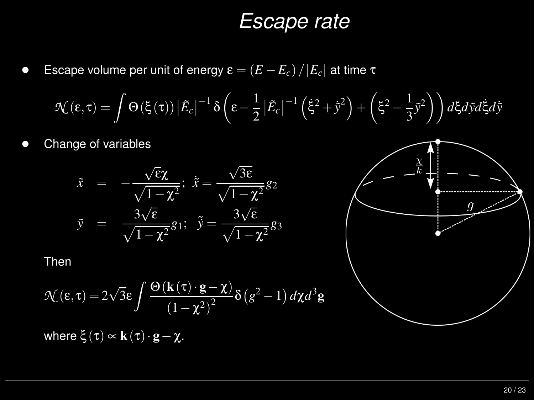#### *Escape rate*

 $\bullet$ Escape volume per unit of energy <sup>ε</sup> <sup>=</sup> (*<sup>E</sup>* <sup>−</sup>*Ec*)/|*<sup>E</sup>c*| at time <sup>τ</sup>

$$
\mathcal{N}(\varepsilon,\tau) = \int \Theta(\xi(\tau)) |\tilde{E}_c|^{-1} \delta\left(\varepsilon - \frac{1}{2} |\tilde{E}_c|^{-1} (\dot{\xi}^2 + \dot{\tilde{y}}^2) + \left(\xi^2 - \frac{1}{3} \tilde{y}^2\right)\right) d\xi d\tilde{y} d\dot{\xi} d\tilde{y}
$$

 $\bullet$ Change of variables



Then

$$
\mathcal{N}(\varepsilon,\tau) = 2\sqrt{3}\varepsilon \int \frac{\Theta(\mathbf{k}(\tau)\cdot\mathbf{g}-\chi)}{(1-\chi^2)^2} \delta(g^2-1) d\chi d^3\mathbf{g}
$$

where  $\xi(\tau) \propto \mathbf{k}(\tau) \cdot \mathbf{g} - \chi$ .

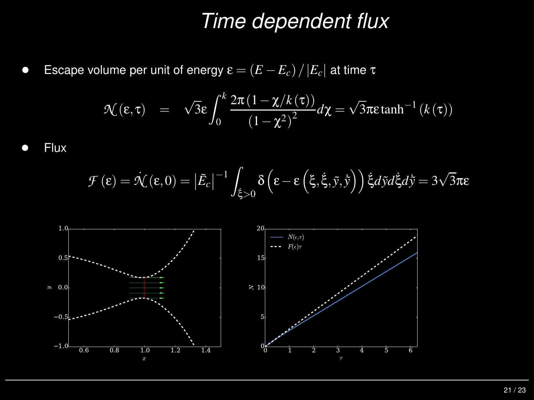### *Time dependent flux*

 $\bullet$ Escape volume per unit of energy <sup>ε</sup> <sup>=</sup> (*<sup>E</sup>* <sup>−</sup>*Ec*)/|*<sup>E</sup>c*| at time <sup>τ</sup>

$$
\mathcal{N}(\varepsilon,\tau) = \sqrt{3}\varepsilon \int_0^k \frac{2\pi (1-\chi/k(\tau))}{(1-\chi^2)^2} d\chi = \sqrt{3}\pi\varepsilon \tanh^{-1}(k(\tau))
$$

 $\bullet$ Flux

$$
\mathcal{F}\left(\varepsilon\right) = \dot{\mathcal{N}}\left(\varepsilon,0\right) = \left|\tilde{E}_c\right|^{-1} \int_{\dot{\xi} > 0} \delta\left(\varepsilon - \varepsilon\left(\xi,\dot{\xi},\tilde{y},\dot{\tilde{y}}\right)\right) \dot{\xi} d\tilde{y} d\dot{\xi} d\dot{\tilde{y}} = 3\sqrt{3}\pi \varepsilon
$$

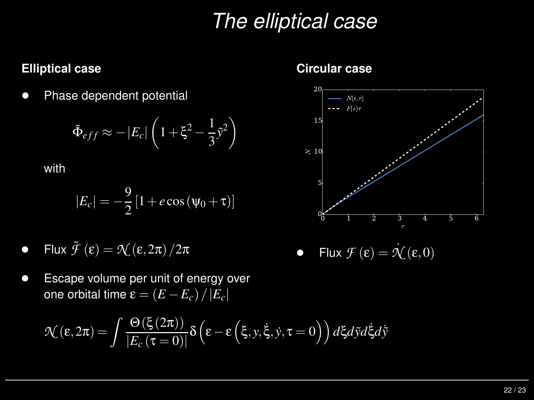## *The elliptical case*

#### **Elliptical case**

 $\bullet$ Phase dependent potential

$$
\tilde{\Phi}_{eff} \approx -\left|E_c\right| \left(1 + \xi^2 - \frac{1}{3}\tilde{y}^2\right)
$$

with

$$
|E_c| = -\frac{9}{2} \left[ 1 + e \cos \left( \psi_0 + \tau \right) \right]
$$

- $\bullet$ • Flux  $\tilde{\mathcal{F}}$ (ε) <sup>=</sup> *<sup>N</sup>* (<sup>ε</sup>,2π)/<sup>2</sup><sup>π</sup>
- $\bullet$  Escape volume per unit of energy over  $\mathsf{one}$  orbital time  $\mathsf{\varepsilon} = \left(E - E_c\right)/\left|E_c\right|$

$$
\mathcal{N}(\varepsilon,2\pi) = \int \frac{\Theta(\xi(2\pi))}{|E_c(\tau=0)|} \delta\left(\varepsilon - \varepsilon\left(\xi, y, \dot{\xi}, \dot{y}, \tau=0\right)\right) d\xi d\tilde{y} d\dot{\xi} d\tilde{y}
$$

#### **Circular case**



 $\bullet$ **•** Flux  $\mathcal{F}(\mathbf{\varepsilon}) = \mathcal{N}(\mathbf{\varepsilon}, 0)$